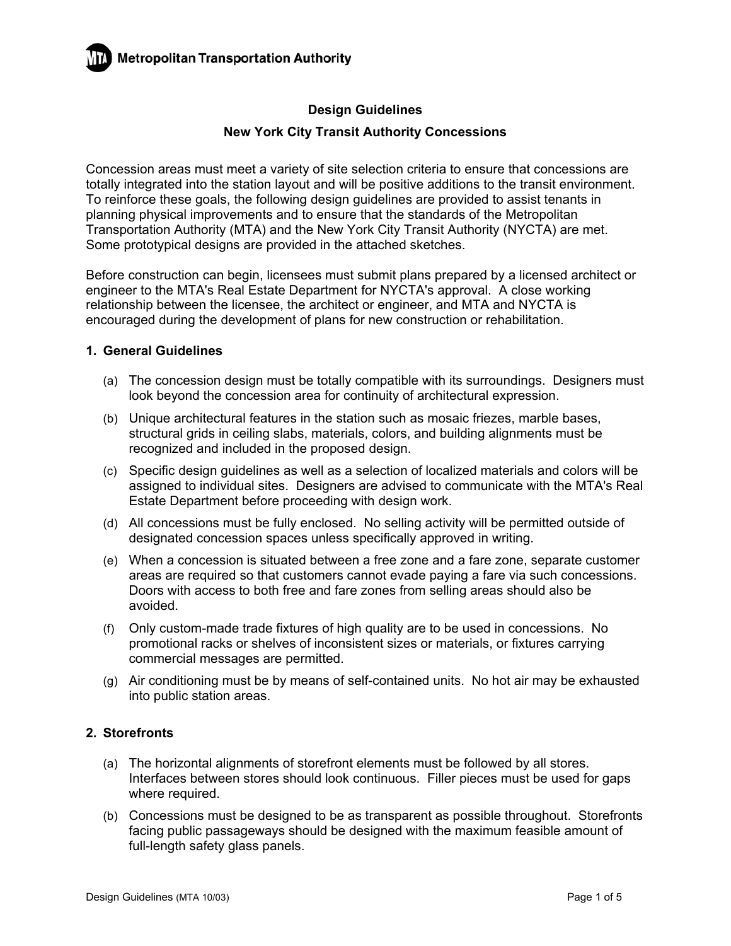

### **New York City Transit Authority Concessions**

Concession areas must meet a variety of site selection criteria to ensure that concessions are totally integrated into the station layout and will be positive additions to the transit environment. To reinforce these goals, the following design guidelines are provided to assist tenants in planning physical improvements and to ensure that the standards of the Metropolitan Transportation Authority (MTA) and the New York City Transit Authority (NYCTA) are met. Some prototypical designs are provided in the attached sketches.

Before construction can begin, licensees must submit plans prepared by a licensed architect or engineer to the MTA's Real Estate Department for NYCTA's approval. A close working relationship between the licensee, the architect or engineer, and MTA and NYCTA is encouraged during the development of plans for new construction or rehabilitation.

### **1. General Guidelines**

- (a) The concession design must be totally compatible with its surroundings. Designers must look beyond the concession area for continuity of architectural expression.
- (b) Unique architectural features in the station such as mosaic friezes, marble bases, structural grids in ceiling slabs, materials, colors, and building alignments must be recognized and included in the proposed design.
- (c) Specific design guidelines as well as a selection of localized materials and colors will be assigned to individual sites. Designers are advised to communicate with the MTA's Real Estate Department before proceeding with design work.
- (d) All concessions must be fully enclosed. No selling activity will be permitted outside of designated concession spaces unless specifically approved in writing.
- (e) When a concession is situated between a free zone and a fare zone, separate customer areas are required so that customers cannot evade paying a fare via such concessions. Doors with access to both free and fare zones from selling areas should also be avoided.
- (f) Only custom-made trade fixtures of high quality are to be used in concessions. No promotional racks or shelves of inconsistent sizes or materials, or fixtures carrying commercial messages are permitted.
- (g) Air conditioning must be by means of self-contained units. No hot air may be exhausted into public station areas.

### **2. Storefronts**

- (a) The horizontal alignments of storefront elements must be followed by all stores. Interfaces between stores should look continuous. Filler pieces must be used for gaps where required.
- (b) Concessions must be designed to be as transparent as possible throughout. Storefronts facing public passageways should be designed with the maximum feasible amount of full-length safety glass panels.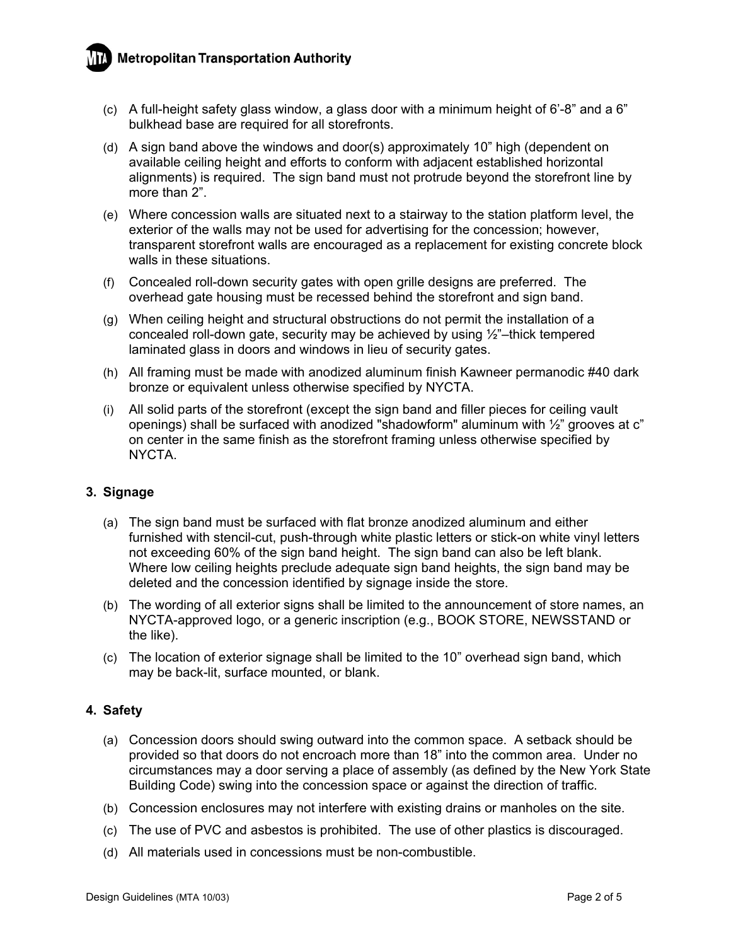# **Metropolitan Transportation Authority**

- (c) A full-height safety glass window, a glass door with a minimum height of 6'-8" and a 6" bulkhead base are required for all storefronts.
- (d) A sign band above the windows and door(s) approximately 10" high (dependent on available ceiling height and efforts to conform with adjacent established horizontal alignments) is required. The sign band must not protrude beyond the storefront line by more than 2".
- (e) Where concession walls are situated next to a stairway to the station platform level, the exterior of the walls may not be used for advertising for the concession; however, transparent storefront walls are encouraged as a replacement for existing concrete block walls in these situations.
- (f) Concealed roll-down security gates with open grille designs are preferred. The overhead gate housing must be recessed behind the storefront and sign band.
- (g) When ceiling height and structural obstructions do not permit the installation of a concealed roll-down gate, security may be achieved by using ½"–thick tempered laminated glass in doors and windows in lieu of security gates.
- (h) All framing must be made with anodized aluminum finish Kawneer permanodic #40 dark bronze or equivalent unless otherwise specified by NYCTA.
- (i) All solid parts of the storefront (except the sign band and filler pieces for ceiling vault openings) shall be surfaced with anodized "shadowform" aluminum with  $\frac{1}{2}$ " grooves at c" on center in the same finish as the storefront framing unless otherwise specified by NYCTA.

### **3. Signage**

- (a) The sign band must be surfaced with flat bronze anodized aluminum and either furnished with stencil-cut, push-through white plastic letters or stick-on white vinyl letters not exceeding 60% of the sign band height. The sign band can also be left blank. Where low ceiling heights preclude adequate sign band heights, the sign band may be deleted and the concession identified by signage inside the store.
- (b) The wording of all exterior signs shall be limited to the announcement of store names, an NYCTA-approved logo, or a generic inscription (e.g., BOOK STORE, NEWSSTAND or the like).
- (c) The location of exterior signage shall be limited to the 10" overhead sign band, which may be back-lit, surface mounted, or blank.

### **4. Safety**

- (a) Concession doors should swing outward into the common space. A setback should be provided so that doors do not encroach more than 18" into the common area. Under no circumstances may a door serving a place of assembly (as defined by the New York State Building Code) swing into the concession space or against the direction of traffic.
- (b) Concession enclosures may not interfere with existing drains or manholes on the site.
- (c) The use of PVC and asbestos is prohibited. The use of other plastics is discouraged.
- (d) All materials used in concessions must be non-combustible.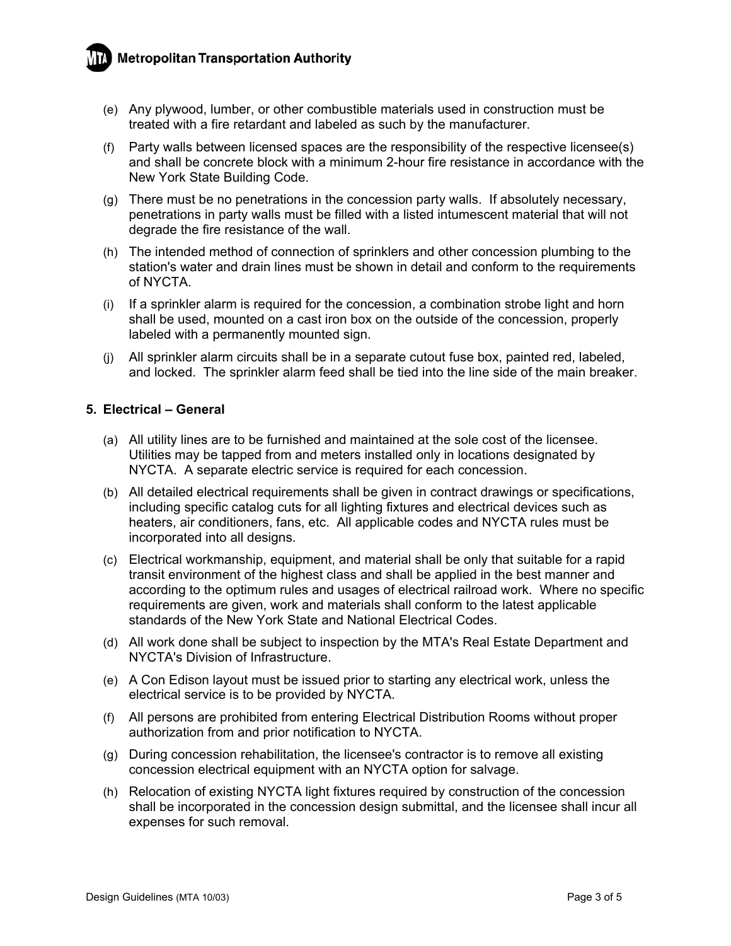# **Metropolitan Transportation Authority**



- (e) Any plywood, lumber, or other combustible materials used in construction must be treated with a fire retardant and labeled as such by the manufacturer.
- (f) Party walls between licensed spaces are the responsibility of the respective licensee(s) and shall be concrete block with a minimum 2-hour fire resistance in accordance with the New York State Building Code.
- (g) There must be no penetrations in the concession party walls. If absolutely necessary, penetrations in party walls must be filled with a listed intumescent material that will not degrade the fire resistance of the wall.
- (h) The intended method of connection of sprinklers and other concession plumbing to the station's water and drain lines must be shown in detail and conform to the requirements of NYCTA.
- (i) If a sprinkler alarm is required for the concession, a combination strobe light and horn shall be used, mounted on a cast iron box on the outside of the concession, properly labeled with a permanently mounted sign.
- (j) All sprinkler alarm circuits shall be in a separate cutout fuse box, painted red, labeled, and locked. The sprinkler alarm feed shall be tied into the line side of the main breaker.

### **5. Electrical – General**

- (a) All utility lines are to be furnished and maintained at the sole cost of the licensee. Utilities may be tapped from and meters installed only in locations designated by NYCTA. A separate electric service is required for each concession.
- (b) All detailed electrical requirements shall be given in contract drawings or specifications, including specific catalog cuts for all lighting fixtures and electrical devices such as heaters, air conditioners, fans, etc. All applicable codes and NYCTA rules must be incorporated into all designs.
- (c) Electrical workmanship, equipment, and material shall be only that suitable for a rapid transit environment of the highest class and shall be applied in the best manner and according to the optimum rules and usages of electrical railroad work. Where no specific requirements are given, work and materials shall conform to the latest applicable standards of the New York State and National Electrical Codes.
- (d) All work done shall be subject to inspection by the MTA's Real Estate Department and NYCTA's Division of Infrastructure.
- (e) A Con Edison layout must be issued prior to starting any electrical work, unless the electrical service is to be provided by NYCTA.
- (f) All persons are prohibited from entering Electrical Distribution Rooms without proper authorization from and prior notification to NYCTA.
- (g) During concession rehabilitation, the licensee's contractor is to remove all existing concession electrical equipment with an NYCTA option for salvage.
- (h) Relocation of existing NYCTA light fixtures required by construction of the concession shall be incorporated in the concession design submittal, and the licensee shall incur all expenses for such removal.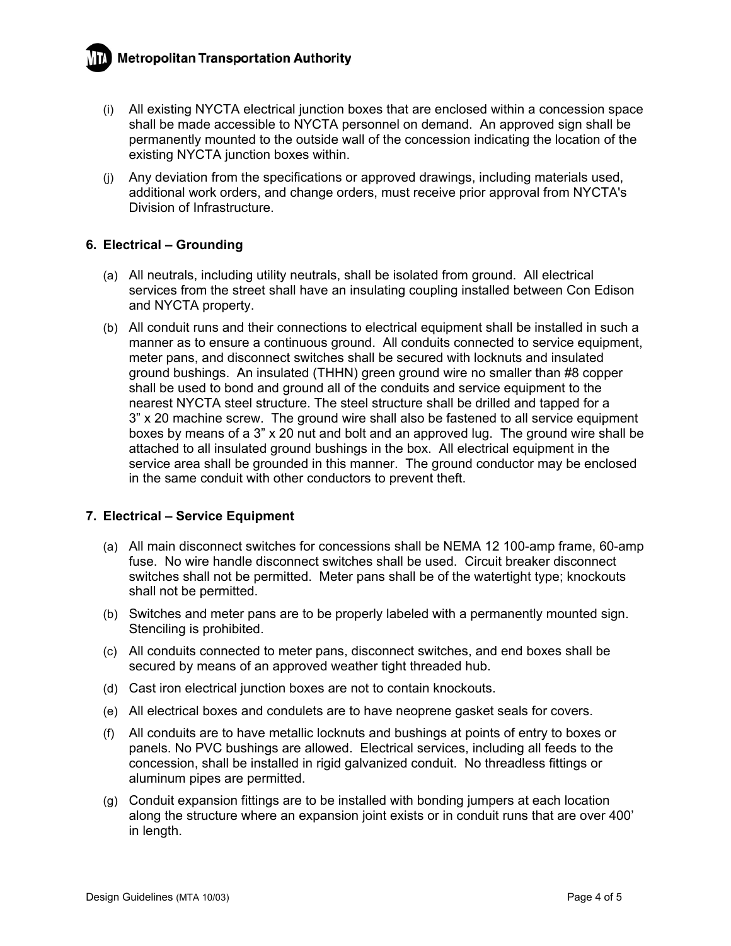

- (i) All existing NYCTA electrical junction boxes that are enclosed within a concession space shall be made accessible to NYCTA personnel on demand. An approved sign shall be permanently mounted to the outside wall of the concession indicating the location of the existing NYCTA junction boxes within.
- (j) Any deviation from the specifications or approved drawings, including materials used, additional work orders, and change orders, must receive prior approval from NYCTA's Division of Infrastructure.

### **6. Electrical – Grounding**

- (a) All neutrals, including utility neutrals, shall be isolated from ground. All electrical services from the street shall have an insulating coupling installed between Con Edison and NYCTA property.
- (b) All conduit runs and their connections to electrical equipment shall be installed in such a manner as to ensure a continuous ground. All conduits connected to service equipment, meter pans, and disconnect switches shall be secured with locknuts and insulated ground bushings. An insulated (THHN) green ground wire no smaller than #8 copper shall be used to bond and ground all of the conduits and service equipment to the nearest NYCTA steel structure. The steel structure shall be drilled and tapped for a 3" x 20 machine screw. The ground wire shall also be fastened to all service equipment boxes by means of a 3" x 20 nut and bolt and an approved lug. The ground wire shall be attached to all insulated ground bushings in the box. All electrical equipment in the service area shall be grounded in this manner. The ground conductor may be enclosed in the same conduit with other conductors to prevent theft.

### **7. Electrical – Service Equipment**

- (a) All main disconnect switches for concessions shall be NEMA 12 100-amp frame, 60-amp fuse. No wire handle disconnect switches shall be used. Circuit breaker disconnect switches shall not be permitted. Meter pans shall be of the watertight type; knockouts shall not be permitted.
- (b) Switches and meter pans are to be properly labeled with a permanently mounted sign. Stenciling is prohibited.
- (c) All conduits connected to meter pans, disconnect switches, and end boxes shall be secured by means of an approved weather tight threaded hub.
- (d) Cast iron electrical junction boxes are not to contain knockouts.
- (e) All electrical boxes and condulets are to have neoprene gasket seals for covers.
- (f) All conduits are to have metallic locknuts and bushings at points of entry to boxes or panels. No PVC bushings are allowed. Electrical services, including all feeds to the concession, shall be installed in rigid galvanized conduit. No threadless fittings or aluminum pipes are permitted.
- (g) Conduit expansion fittings are to be installed with bonding jumpers at each location along the structure where an expansion joint exists or in conduit runs that are over 400' in length.